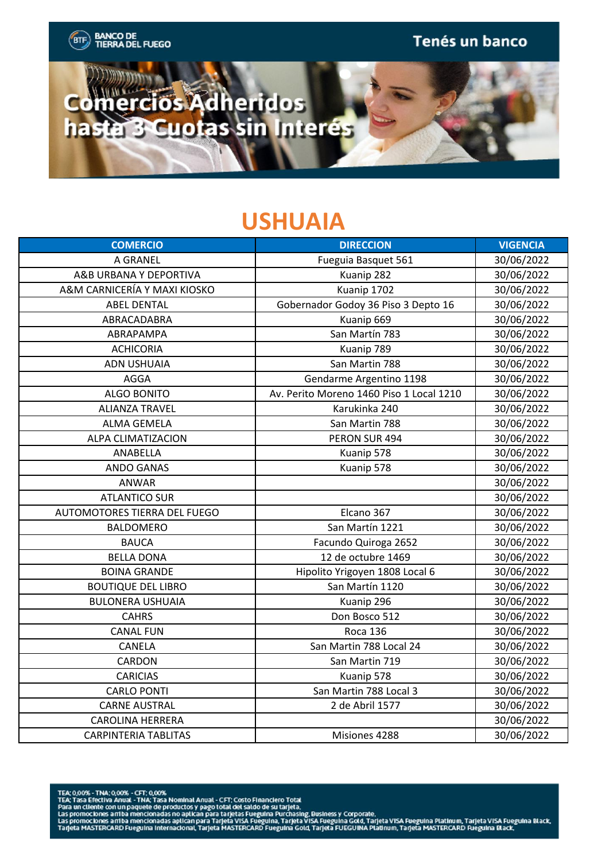

## **USHUAIA**

| <b>COMERCIO</b>              | <b>DIRECCION</b>                         | <b>VIGENCIA</b> |
|------------------------------|------------------------------------------|-----------------|
| A GRANEL                     | Fueguia Basquet 561                      | 30/06/2022      |
| A&B URBANA Y DEPORTIVA       | Kuanip 282                               | 30/06/2022      |
| A&M CARNICERÍA Y MAXI KIOSKO | Kuanip 1702                              | 30/06/2022      |
| <b>ABEL DENTAL</b>           | Gobernador Godoy 36 Piso 3 Depto 16      | 30/06/2022      |
| ABRACADABRA                  | Kuanip 669                               | 30/06/2022      |
| ABRAPAMPA                    | San Martín 783                           | 30/06/2022      |
| <b>ACHICORIA</b>             | Kuanip 789                               | 30/06/2022      |
| <b>ADN USHUAIA</b>           | San Martin 788                           | 30/06/2022      |
| AGGA                         | Gendarme Argentino 1198                  | 30/06/2022      |
| <b>ALGO BONITO</b>           | Av. Perito Moreno 1460 Piso 1 Local 1210 | 30/06/2022      |
| <b>ALIANZA TRAVEL</b>        | Karukinka 240                            | 30/06/2022      |
| <b>ALMA GEMELA</b>           | San Martin 788                           | 30/06/2022      |
| ALPA CLIMATIZACION           | PERON SUR 494                            | 30/06/2022      |
| ANABELLA                     | Kuanip 578                               | 30/06/2022      |
| <b>ANDO GANAS</b>            | Kuanip 578                               | 30/06/2022      |
| ANWAR                        |                                          | 30/06/2022      |
| <b>ATLANTICO SUR</b>         |                                          | 30/06/2022      |
| AUTOMOTORES TIERRA DEL FUEGO | Elcano 367                               | 30/06/2022      |
| <b>BALDOMERO</b>             | San Martín 1221                          | 30/06/2022      |
| <b>BAUCA</b>                 | Facundo Quiroga 2652                     | 30/06/2022      |
| <b>BELLA DONA</b>            | 12 de octubre 1469                       | 30/06/2022      |
| <b>BOINA GRANDE</b>          | Hipolito Yrigoyen 1808 Local 6           | 30/06/2022      |
| <b>BOUTIQUE DEL LIBRO</b>    | San Martín 1120                          | 30/06/2022      |
| <b>BULONERA USHUAIA</b>      | Kuanip 296                               | 30/06/2022      |
| <b>CAHRS</b>                 | Don Bosco 512                            | 30/06/2022      |
| <b>CANAL FUN</b>             | <b>Roca 136</b>                          | 30/06/2022      |
| CANELA                       | San Martin 788 Local 24                  | 30/06/2022      |
| CARDON                       | San Martin 719                           | 30/06/2022      |
| <b>CARICIAS</b>              | Kuanip 578                               | 30/06/2022      |
| <b>CARLO PONTI</b>           | San Martin 788 Local 3                   | 30/06/2022      |
| <b>CARNE AUSTRAL</b>         | 2 de Abril 1577                          | 30/06/2022      |
| <b>CAROLINA HERRERA</b>      |                                          | 30/06/2022      |
| <b>CARPINTERIA TABLITAS</b>  | Misiones 4288                            | 30/06/2022      |

- 
- TEA: 0,00% TNA; 0,00% CFT; 0,00%<br>PEA: Tasa Efectiva Anual TNA: Tasa Nominal Anual CFT; Costo Financiero Total<br>Para un cliente con un paquete de productos y pago total del saldo de su tarjeta.<br>Las promociones arriba
-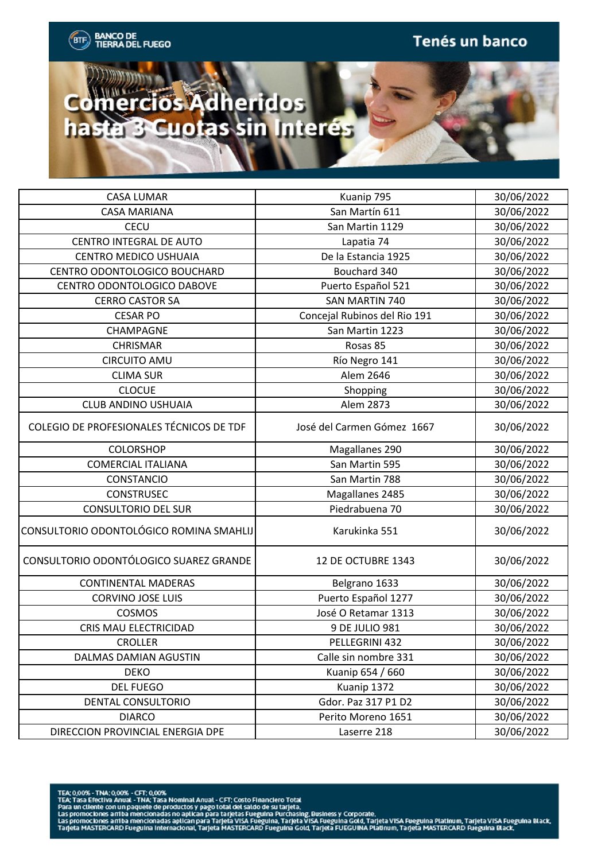

| <b>CASA LUMAR</b>                        | Kuanip 795                   | 30/06/2022 |
|------------------------------------------|------------------------------|------------|
| <b>CASA MARIANA</b>                      | San Martín 611               | 30/06/2022 |
| CECU                                     | San Martin 1129              | 30/06/2022 |
| <b>CENTRO INTEGRAL DE AUTO</b>           | Lapatia 74                   | 30/06/2022 |
| <b>CENTRO MEDICO USHUAIA</b>             | De la Estancia 1925          | 30/06/2022 |
| CENTRO ODONTOLOGICO BOUCHARD             | Bouchard 340                 | 30/06/2022 |
| CENTRO ODONTOLOGICO DABOVE               | Puerto Español 521           | 30/06/2022 |
| <b>CERRO CASTOR SA</b>                   | SAN MARTIN 740               | 30/06/2022 |
| <b>CESAR PO</b>                          | Concejal Rubinos del Rio 191 | 30/06/2022 |
| CHAMPAGNE                                | San Martin 1223              | 30/06/2022 |
| <b>CHRISMAR</b>                          | Rosas 85                     | 30/06/2022 |
| <b>CIRCUITO AMU</b>                      | Río Negro 141                | 30/06/2022 |
| <b>CLIMA SUR</b>                         | Alem 2646                    | 30/06/2022 |
| <b>CLOCUE</b>                            | Shopping                     | 30/06/2022 |
| <b>CLUB ANDINO USHUAIA</b>               | Alem 2873                    | 30/06/2022 |
| COLEGIO DE PROFESIONALES TÉCNICOS DE TDF | José del Carmen Gómez 1667   | 30/06/2022 |
| <b>COLORSHOP</b>                         | Magallanes 290               | 30/06/2022 |
| <b>COMERCIAL ITALIANA</b>                | San Martin 595               | 30/06/2022 |
| CONSTANCIO                               | San Martin 788               | 30/06/2022 |
| <b>CONSTRUSEC</b>                        | Magallanes 2485              | 30/06/2022 |
| <b>CONSULTORIO DEL SUR</b>               | Piedrabuena 70               | 30/06/2022 |
| CONSULTORIO ODONTOLÓGICO ROMINA SMAHLIJ  | Karukinka 551                | 30/06/2022 |
| CONSULTORIO ODONTÓLOGICO SUAREZ GRANDE   | 12 DE OCTUBRE 1343           | 30/06/2022 |
| <b>CONTINENTAL MADERAS</b>               | Belgrano 1633                | 30/06/2022 |
| <b>CORVINO JOSE LUIS</b>                 | Puerto Español 1277          | 30/06/2022 |
| COSMOS                                   | José O Retamar 1313          | 30/06/2022 |
| CRIS MAU ELECTRICIDAD                    | 9 DE JULIO 981               | 30/06/2022 |
| CROLLER                                  | PELLEGRINI 432               | 30/06/2022 |
| DALMAS DAMIAN AGUSTIN                    | Calle sin nombre 331         | 30/06/2022 |
| <b>DEKO</b>                              | Kuanip 654 / 660             | 30/06/2022 |
| <b>DEL FUEGO</b>                         | Kuanip 1372                  | 30/06/2022 |
| DENTAL CONSULTORIO                       | Gdor. Paz 317 P1 D2          | 30/06/2022 |
| <b>DIARCO</b>                            | Perito Moreno 1651           | 30/06/2022 |
| DIRECCION PROVINCIAL ENERGIA DPE         | Laserre 218                  | 30/06/2022 |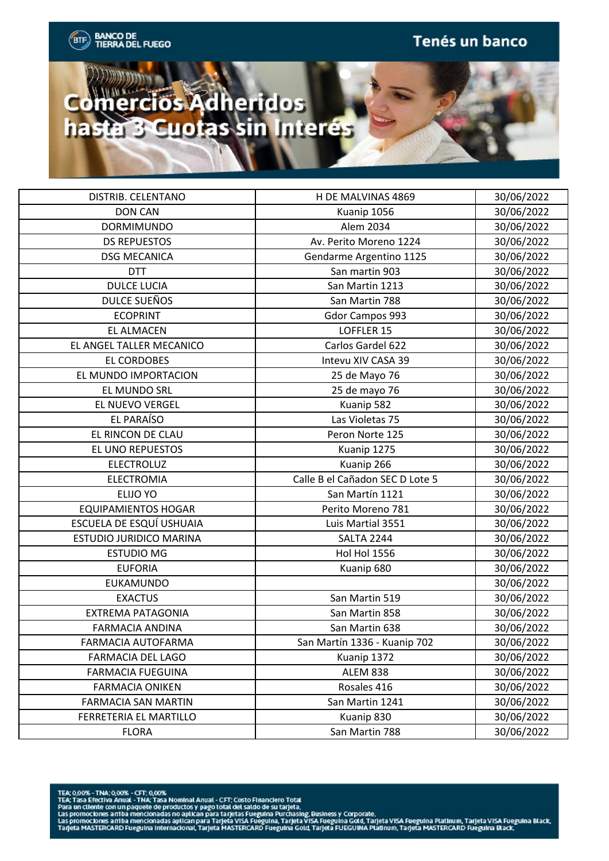

| 30/06/2022<br><b>DON CAN</b><br>Kuanip 1056<br>Alem 2034<br>30/06/2022<br><b>DORMIMUNDO</b><br>30/06/2022<br><b>DS REPUESTOS</b><br>Av. Perito Moreno 1224<br>30/06/2022<br><b>DSG MECANICA</b><br>Gendarme Argentino 1125<br><b>DTT</b><br>San martin 903<br>30/06/2022<br><b>DULCE LUCIA</b><br>San Martin 1213<br>30/06/2022<br>DULCE SUEÑOS<br>San Martin 788<br>30/06/2022<br><b>ECOPRINT</b><br>30/06/2022<br>Gdor Campos 993<br><b>EL ALMACEN</b><br>LOFFLER 15<br>30/06/2022<br>Carlos Gardel 622<br>30/06/2022<br>EL ANGEL TALLER MECANICO<br>30/06/2022<br>EL CORDOBES<br>Intevu XIV CASA 39<br>EL MUNDO IMPORTACION<br>30/06/2022<br>25 de Mayo 76<br>25 de mayo 76<br>30/06/2022<br>EL MUNDO SRL<br>EL NUEVO VERGEL<br>Kuanip 582<br>30/06/2022<br>EL PARAÍSO<br>Las Violetas 75<br>30/06/2022<br>EL RINCON DE CLAU<br>30/06/2022<br>Peron Norte 125<br>30/06/2022<br>EL UNO REPUESTOS<br>Kuanip 1275<br><b>ELECTROLUZ</b><br>Kuanip 266<br>30/06/2022<br>Calle B el Cañadon SEC D Lote 5<br><b>ELECTROMIA</b><br>30/06/2022<br>30/06/2022<br><b>ELIJO YO</b><br>San Martín 1121<br>30/06/2022<br><b>EQUIPAMIENTOS HOGAR</b><br>Perito Moreno 781<br>ESCUELA DE ESQUÍ USHUAIA<br>Luis Martial 3551<br>30/06/2022<br>ESTUDIO JURIDICO MARINA<br><b>SALTA 2244</b><br>30/06/2022<br><b>Hol Hol 1556</b><br><b>ESTUDIO MG</b><br>30/06/2022<br>30/06/2022<br><b>EUFORIA</b><br>Kuanip 680<br><b>EUKAMUNDO</b><br>30/06/2022<br>30/06/2022<br><b>EXACTUS</b><br>San Martin 519<br><b>EXTREMA PATAGONIA</b><br>30/06/2022<br>San Martin 858<br>30/06/2022<br><b>FARMACIA ANDINA</b><br>San Martin 638<br>30/06/2022<br>San Martín 1336 - Kuanip 702<br>FARMACIA AUTOFARMA<br>30/06/2022<br>FARMACIA DEL LAGO<br>Kuanip 1372<br>30/06/2022<br><b>FARMACIA FUEGUINA</b><br><b>ALEM 838</b><br>Rosales 416<br>30/06/2022<br><b>FARMACIA ONIKEN</b><br><b>FARMACIA SAN MARTIN</b><br>San Martin 1241<br>30/06/2022<br>30/06/2022<br>FERRETERIA EL MARTILLO<br>Kuanip 830 |                    |                    |            |
|-----------------------------------------------------------------------------------------------------------------------------------------------------------------------------------------------------------------------------------------------------------------------------------------------------------------------------------------------------------------------------------------------------------------------------------------------------------------------------------------------------------------------------------------------------------------------------------------------------------------------------------------------------------------------------------------------------------------------------------------------------------------------------------------------------------------------------------------------------------------------------------------------------------------------------------------------------------------------------------------------------------------------------------------------------------------------------------------------------------------------------------------------------------------------------------------------------------------------------------------------------------------------------------------------------------------------------------------------------------------------------------------------------------------------------------------------------------------------------------------------------------------------------------------------------------------------------------------------------------------------------------------------------------------------------------------------------------------------------------------------------------------------------------------------------------------------------------------------------------------------------------------------------------------------------------------------------------------------------|--------------------|--------------------|------------|
|                                                                                                                                                                                                                                                                                                                                                                                                                                                                                                                                                                                                                                                                                                                                                                                                                                                                                                                                                                                                                                                                                                                                                                                                                                                                                                                                                                                                                                                                                                                                                                                                                                                                                                                                                                                                                                                                                                                                                                             | DISTRIB. CELENTANO | H DE MALVINAS 4869 | 30/06/2022 |
|                                                                                                                                                                                                                                                                                                                                                                                                                                                                                                                                                                                                                                                                                                                                                                                                                                                                                                                                                                                                                                                                                                                                                                                                                                                                                                                                                                                                                                                                                                                                                                                                                                                                                                                                                                                                                                                                                                                                                                             |                    |                    |            |
|                                                                                                                                                                                                                                                                                                                                                                                                                                                                                                                                                                                                                                                                                                                                                                                                                                                                                                                                                                                                                                                                                                                                                                                                                                                                                                                                                                                                                                                                                                                                                                                                                                                                                                                                                                                                                                                                                                                                                                             |                    |                    |            |
|                                                                                                                                                                                                                                                                                                                                                                                                                                                                                                                                                                                                                                                                                                                                                                                                                                                                                                                                                                                                                                                                                                                                                                                                                                                                                                                                                                                                                                                                                                                                                                                                                                                                                                                                                                                                                                                                                                                                                                             |                    |                    |            |
|                                                                                                                                                                                                                                                                                                                                                                                                                                                                                                                                                                                                                                                                                                                                                                                                                                                                                                                                                                                                                                                                                                                                                                                                                                                                                                                                                                                                                                                                                                                                                                                                                                                                                                                                                                                                                                                                                                                                                                             |                    |                    |            |
|                                                                                                                                                                                                                                                                                                                                                                                                                                                                                                                                                                                                                                                                                                                                                                                                                                                                                                                                                                                                                                                                                                                                                                                                                                                                                                                                                                                                                                                                                                                                                                                                                                                                                                                                                                                                                                                                                                                                                                             |                    |                    |            |
|                                                                                                                                                                                                                                                                                                                                                                                                                                                                                                                                                                                                                                                                                                                                                                                                                                                                                                                                                                                                                                                                                                                                                                                                                                                                                                                                                                                                                                                                                                                                                                                                                                                                                                                                                                                                                                                                                                                                                                             |                    |                    |            |
|                                                                                                                                                                                                                                                                                                                                                                                                                                                                                                                                                                                                                                                                                                                                                                                                                                                                                                                                                                                                                                                                                                                                                                                                                                                                                                                                                                                                                                                                                                                                                                                                                                                                                                                                                                                                                                                                                                                                                                             |                    |                    |            |
|                                                                                                                                                                                                                                                                                                                                                                                                                                                                                                                                                                                                                                                                                                                                                                                                                                                                                                                                                                                                                                                                                                                                                                                                                                                                                                                                                                                                                                                                                                                                                                                                                                                                                                                                                                                                                                                                                                                                                                             |                    |                    |            |
|                                                                                                                                                                                                                                                                                                                                                                                                                                                                                                                                                                                                                                                                                                                                                                                                                                                                                                                                                                                                                                                                                                                                                                                                                                                                                                                                                                                                                                                                                                                                                                                                                                                                                                                                                                                                                                                                                                                                                                             |                    |                    |            |
|                                                                                                                                                                                                                                                                                                                                                                                                                                                                                                                                                                                                                                                                                                                                                                                                                                                                                                                                                                                                                                                                                                                                                                                                                                                                                                                                                                                                                                                                                                                                                                                                                                                                                                                                                                                                                                                                                                                                                                             |                    |                    |            |
|                                                                                                                                                                                                                                                                                                                                                                                                                                                                                                                                                                                                                                                                                                                                                                                                                                                                                                                                                                                                                                                                                                                                                                                                                                                                                                                                                                                                                                                                                                                                                                                                                                                                                                                                                                                                                                                                                                                                                                             |                    |                    |            |
|                                                                                                                                                                                                                                                                                                                                                                                                                                                                                                                                                                                                                                                                                                                                                                                                                                                                                                                                                                                                                                                                                                                                                                                                                                                                                                                                                                                                                                                                                                                                                                                                                                                                                                                                                                                                                                                                                                                                                                             |                    |                    |            |
|                                                                                                                                                                                                                                                                                                                                                                                                                                                                                                                                                                                                                                                                                                                                                                                                                                                                                                                                                                                                                                                                                                                                                                                                                                                                                                                                                                                                                                                                                                                                                                                                                                                                                                                                                                                                                                                                                                                                                                             |                    |                    |            |
|                                                                                                                                                                                                                                                                                                                                                                                                                                                                                                                                                                                                                                                                                                                                                                                                                                                                                                                                                                                                                                                                                                                                                                                                                                                                                                                                                                                                                                                                                                                                                                                                                                                                                                                                                                                                                                                                                                                                                                             |                    |                    |            |
|                                                                                                                                                                                                                                                                                                                                                                                                                                                                                                                                                                                                                                                                                                                                                                                                                                                                                                                                                                                                                                                                                                                                                                                                                                                                                                                                                                                                                                                                                                                                                                                                                                                                                                                                                                                                                                                                                                                                                                             |                    |                    |            |
|                                                                                                                                                                                                                                                                                                                                                                                                                                                                                                                                                                                                                                                                                                                                                                                                                                                                                                                                                                                                                                                                                                                                                                                                                                                                                                                                                                                                                                                                                                                                                                                                                                                                                                                                                                                                                                                                                                                                                                             |                    |                    |            |
|                                                                                                                                                                                                                                                                                                                                                                                                                                                                                                                                                                                                                                                                                                                                                                                                                                                                                                                                                                                                                                                                                                                                                                                                                                                                                                                                                                                                                                                                                                                                                                                                                                                                                                                                                                                                                                                                                                                                                                             |                    |                    |            |
|                                                                                                                                                                                                                                                                                                                                                                                                                                                                                                                                                                                                                                                                                                                                                                                                                                                                                                                                                                                                                                                                                                                                                                                                                                                                                                                                                                                                                                                                                                                                                                                                                                                                                                                                                                                                                                                                                                                                                                             |                    |                    |            |
|                                                                                                                                                                                                                                                                                                                                                                                                                                                                                                                                                                                                                                                                                                                                                                                                                                                                                                                                                                                                                                                                                                                                                                                                                                                                                                                                                                                                                                                                                                                                                                                                                                                                                                                                                                                                                                                                                                                                                                             |                    |                    |            |
|                                                                                                                                                                                                                                                                                                                                                                                                                                                                                                                                                                                                                                                                                                                                                                                                                                                                                                                                                                                                                                                                                                                                                                                                                                                                                                                                                                                                                                                                                                                                                                                                                                                                                                                                                                                                                                                                                                                                                                             |                    |                    |            |
|                                                                                                                                                                                                                                                                                                                                                                                                                                                                                                                                                                                                                                                                                                                                                                                                                                                                                                                                                                                                                                                                                                                                                                                                                                                                                                                                                                                                                                                                                                                                                                                                                                                                                                                                                                                                                                                                                                                                                                             |                    |                    |            |
|                                                                                                                                                                                                                                                                                                                                                                                                                                                                                                                                                                                                                                                                                                                                                                                                                                                                                                                                                                                                                                                                                                                                                                                                                                                                                                                                                                                                                                                                                                                                                                                                                                                                                                                                                                                                                                                                                                                                                                             |                    |                    |            |
|                                                                                                                                                                                                                                                                                                                                                                                                                                                                                                                                                                                                                                                                                                                                                                                                                                                                                                                                                                                                                                                                                                                                                                                                                                                                                                                                                                                                                                                                                                                                                                                                                                                                                                                                                                                                                                                                                                                                                                             |                    |                    |            |
|                                                                                                                                                                                                                                                                                                                                                                                                                                                                                                                                                                                                                                                                                                                                                                                                                                                                                                                                                                                                                                                                                                                                                                                                                                                                                                                                                                                                                                                                                                                                                                                                                                                                                                                                                                                                                                                                                                                                                                             |                    |                    |            |
|                                                                                                                                                                                                                                                                                                                                                                                                                                                                                                                                                                                                                                                                                                                                                                                                                                                                                                                                                                                                                                                                                                                                                                                                                                                                                                                                                                                                                                                                                                                                                                                                                                                                                                                                                                                                                                                                                                                                                                             |                    |                    |            |
|                                                                                                                                                                                                                                                                                                                                                                                                                                                                                                                                                                                                                                                                                                                                                                                                                                                                                                                                                                                                                                                                                                                                                                                                                                                                                                                                                                                                                                                                                                                                                                                                                                                                                                                                                                                                                                                                                                                                                                             |                    |                    |            |
|                                                                                                                                                                                                                                                                                                                                                                                                                                                                                                                                                                                                                                                                                                                                                                                                                                                                                                                                                                                                                                                                                                                                                                                                                                                                                                                                                                                                                                                                                                                                                                                                                                                                                                                                                                                                                                                                                                                                                                             |                    |                    |            |
|                                                                                                                                                                                                                                                                                                                                                                                                                                                                                                                                                                                                                                                                                                                                                                                                                                                                                                                                                                                                                                                                                                                                                                                                                                                                                                                                                                                                                                                                                                                                                                                                                                                                                                                                                                                                                                                                                                                                                                             |                    |                    |            |
|                                                                                                                                                                                                                                                                                                                                                                                                                                                                                                                                                                                                                                                                                                                                                                                                                                                                                                                                                                                                                                                                                                                                                                                                                                                                                                                                                                                                                                                                                                                                                                                                                                                                                                                                                                                                                                                                                                                                                                             |                    |                    |            |
|                                                                                                                                                                                                                                                                                                                                                                                                                                                                                                                                                                                                                                                                                                                                                                                                                                                                                                                                                                                                                                                                                                                                                                                                                                                                                                                                                                                                                                                                                                                                                                                                                                                                                                                                                                                                                                                                                                                                                                             |                    |                    |            |
|                                                                                                                                                                                                                                                                                                                                                                                                                                                                                                                                                                                                                                                                                                                                                                                                                                                                                                                                                                                                                                                                                                                                                                                                                                                                                                                                                                                                                                                                                                                                                                                                                                                                                                                                                                                                                                                                                                                                                                             |                    |                    |            |
|                                                                                                                                                                                                                                                                                                                                                                                                                                                                                                                                                                                                                                                                                                                                                                                                                                                                                                                                                                                                                                                                                                                                                                                                                                                                                                                                                                                                                                                                                                                                                                                                                                                                                                                                                                                                                                                                                                                                                                             |                    |                    |            |
|                                                                                                                                                                                                                                                                                                                                                                                                                                                                                                                                                                                                                                                                                                                                                                                                                                                                                                                                                                                                                                                                                                                                                                                                                                                                                                                                                                                                                                                                                                                                                                                                                                                                                                                                                                                                                                                                                                                                                                             |                    |                    |            |
|                                                                                                                                                                                                                                                                                                                                                                                                                                                                                                                                                                                                                                                                                                                                                                                                                                                                                                                                                                                                                                                                                                                                                                                                                                                                                                                                                                                                                                                                                                                                                                                                                                                                                                                                                                                                                                                                                                                                                                             |                    |                    |            |
|                                                                                                                                                                                                                                                                                                                                                                                                                                                                                                                                                                                                                                                                                                                                                                                                                                                                                                                                                                                                                                                                                                                                                                                                                                                                                                                                                                                                                                                                                                                                                                                                                                                                                                                                                                                                                                                                                                                                                                             |                    |                    |            |
| <b>FLORA</b><br>San Martin 788<br>30/06/2022                                                                                                                                                                                                                                                                                                                                                                                                                                                                                                                                                                                                                                                                                                                                                                                                                                                                                                                                                                                                                                                                                                                                                                                                                                                                                                                                                                                                                                                                                                                                                                                                                                                                                                                                                                                                                                                                                                                                |                    |                    |            |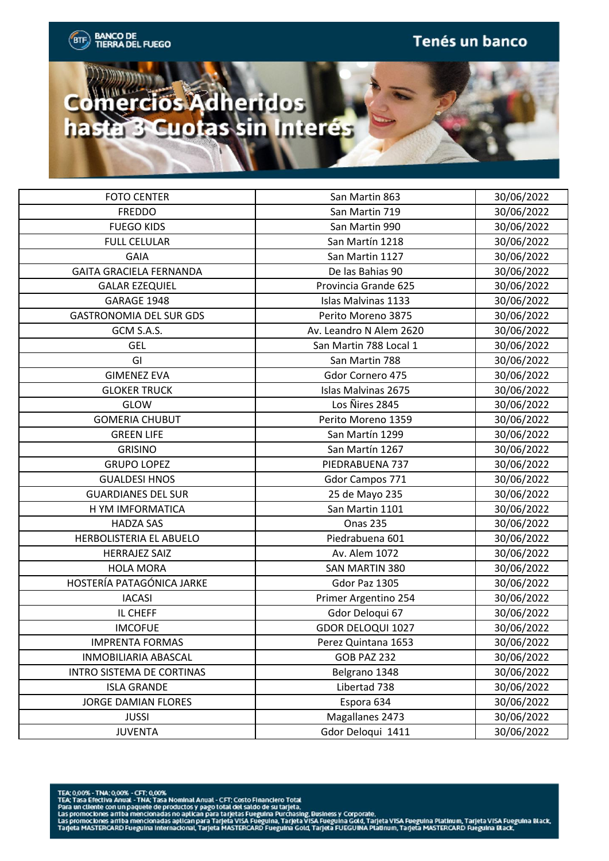

| <b>FOTO CENTER</b>             | San Martin 863           | 30/06/2022 |
|--------------------------------|--------------------------|------------|
| <b>FREDDO</b>                  | San Martin 719           | 30/06/2022 |
| <b>FUEGO KIDS</b>              | San Martin 990           | 30/06/2022 |
| <b>FULL CELULAR</b>            | San Martín 1218          | 30/06/2022 |
| <b>GAIA</b>                    | San Martin 1127          | 30/06/2022 |
| <b>GAITA GRACIELA FERNANDA</b> | De las Bahias 90         | 30/06/2022 |
| <b>GALAR EZEQUIEL</b>          | Provincia Grande 625     | 30/06/2022 |
| GARAGE 1948                    | Islas Malvinas 1133      | 30/06/2022 |
| <b>GASTRONOMIA DEL SUR GDS</b> | Perito Moreno 3875       | 30/06/2022 |
| GCM S.A.S.                     | Av. Leandro N Alem 2620  | 30/06/2022 |
| <b>GEL</b>                     | San Martin 788 Local 1   | 30/06/2022 |
| GI                             | San Martin 788           | 30/06/2022 |
| <b>GIMENEZ EVA</b>             | Gdor Cornero 475         | 30/06/2022 |
| <b>GLOKER TRUCK</b>            | Islas Malvinas 2675      | 30/06/2022 |
| GLOW                           | Los Nires 2845           | 30/06/2022 |
| <b>GOMERIA CHUBUT</b>          | Perito Moreno 1359       | 30/06/2022 |
| <b>GREEN LIFE</b>              | San Martín 1299          | 30/06/2022 |
| <b>GRISINO</b>                 | San Martín 1267          | 30/06/2022 |
| <b>GRUPO LOPEZ</b>             | PIEDRABUENA 737          | 30/06/2022 |
| <b>GUALDESI HNOS</b>           | Gdor Campos 771          | 30/06/2022 |
| <b>GUARDIANES DEL SUR</b>      | 25 de Mayo 235           | 30/06/2022 |
| H YM IMFORMATICA               | San Martin 1101          | 30/06/2022 |
| <b>HADZA SAS</b>               | <b>Onas 235</b>          | 30/06/2022 |
| HERBOLISTERIA EL ABUELO        | Piedrabuena 601          | 30/06/2022 |
| <b>HERRAJEZ SAIZ</b>           | Av. Alem 1072            | 30/06/2022 |
| <b>HOLA MORA</b>               | SAN MARTIN 380           | 30/06/2022 |
| HOSTERÍA PATAGÓNICA JARKE      | Gdor Paz 1305            | 30/06/2022 |
| <b>IACASI</b>                  | Primer Argentino 254     | 30/06/2022 |
| IL CHEFF                       | Gdor Deloqui 67          | 30/06/2022 |
| <b>IMCOFUE</b>                 | <b>GDOR DELOQUI 1027</b> | 30/06/2022 |
| <b>IMPRENTA FORMAS</b>         | Perez Quintana 1653      | 30/06/2022 |
| INMOBILIARIA ABASCAL           | <b>GOB PAZ 232</b>       | 30/06/2022 |
| INTRO SISTEMA DE CORTINAS      | Belgrano 1348            | 30/06/2022 |
| <b>ISLA GRANDE</b>             | Libertad 738             | 30/06/2022 |
| <b>JORGE DAMIAN FLORES</b>     | Espora 634               | 30/06/2022 |
| <b>JUSSI</b>                   | Magallanes 2473          | 30/06/2022 |
| <b>JUVENTA</b>                 | Gdor Deloqui 1411        | 30/06/2022 |

- 
-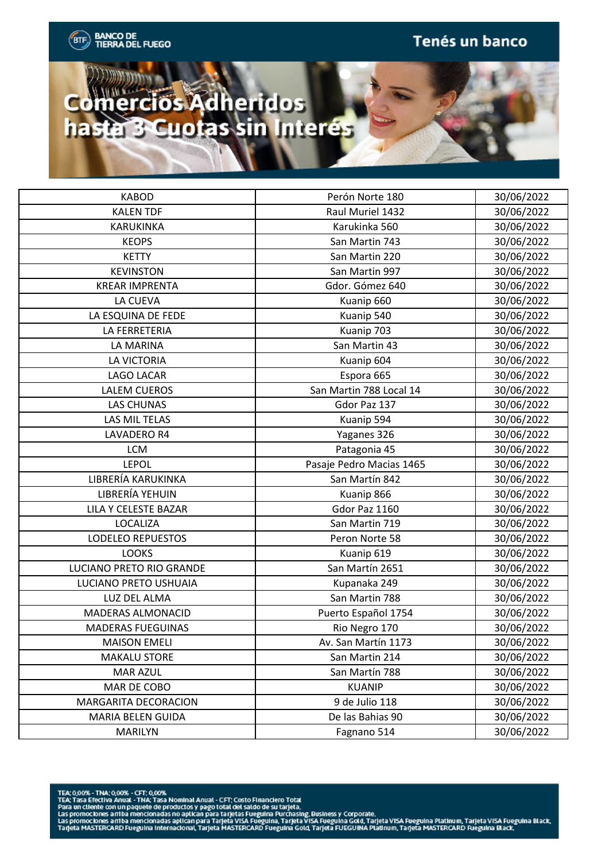

| <b>KABOD</b>             | Perón Norte 180          | 30/06/2022 |
|--------------------------|--------------------------|------------|
| <b>KALEN TDF</b>         | Raul Muriel 1432         | 30/06/2022 |
| <b>KARUKINKA</b>         | Karukinka 560            | 30/06/2022 |
| <b>KEOPS</b>             | San Martin 743           | 30/06/2022 |
| <b>KETTY</b>             | San Martin 220           | 30/06/2022 |
| <b>KEVINSTON</b>         | San Martin 997           | 30/06/2022 |
| <b>KREAR IMPRENTA</b>    | Gdor. Gómez 640          | 30/06/2022 |
| LA CUEVA                 | Kuanip 660               | 30/06/2022 |
| LA ESQUINA DE FEDE       | Kuanip 540               | 30/06/2022 |
| LA FERRETERIA            | Kuanip 703               | 30/06/2022 |
| LA MARINA                | San Martin 43            | 30/06/2022 |
| LA VICTORIA              | Kuanip 604               | 30/06/2022 |
| LAGO LACAR               | Espora 665               | 30/06/2022 |
| <b>LALEM CUEROS</b>      | San Martin 788 Local 14  | 30/06/2022 |
| <b>LAS CHUNAS</b>        | Gdor Paz 137             | 30/06/2022 |
| LAS MIL TELAS            | Kuanip 594               | 30/06/2022 |
| LAVADERO R4              | Yaganes 326              | 30/06/2022 |
| <b>LCM</b>               | Patagonia 45             | 30/06/2022 |
| <b>LEPOL</b>             | Pasaje Pedro Macias 1465 | 30/06/2022 |
| LIBRERÍA KARUKINKA       | San Martín 842           | 30/06/2022 |
| LIBRERÍA YEHUIN          | Kuanip 866               | 30/06/2022 |
| LILA Y CELESTE BAZAR     | Gdor Paz 1160            | 30/06/2022 |
| <b>LOCALIZA</b>          | San Martin 719           | 30/06/2022 |
| LODELEO REPUESTOS        | Peron Norte 58           | 30/06/2022 |
| <b>LOOKS</b>             | Kuanip 619               | 30/06/2022 |
| LUCIANO PRETO RIO GRANDE | San Martín 2651          | 30/06/2022 |
| LUCIANO PRETO USHUAIA    | Kupanaka 249             | 30/06/2022 |
| LUZ DEL ALMA             | San Martin 788           | 30/06/2022 |
| MADERAS ALMONACID        | Puerto Español 1754      | 30/06/2022 |
| <b>MADERAS FUEGUINAS</b> | Rio Negro 170            | 30/06/2022 |
| <b>MAISON EMELI</b>      | Av. San Martín 1173      | 30/06/2022 |
| <b>MAKALU STORE</b>      | San Martin 214           | 30/06/2022 |
| <b>MAR AZUL</b>          | San Martín 788           | 30/06/2022 |
| MAR DE COBO              | <b>KUANIP</b>            | 30/06/2022 |
| MARGARITA DECORACION     | 9 de Julio 118           | 30/06/2022 |
| MARIA BELEN GUIDA        | De las Bahias 90         | 30/06/2022 |
| MARILYN                  | Fagnano 514              | 30/06/2022 |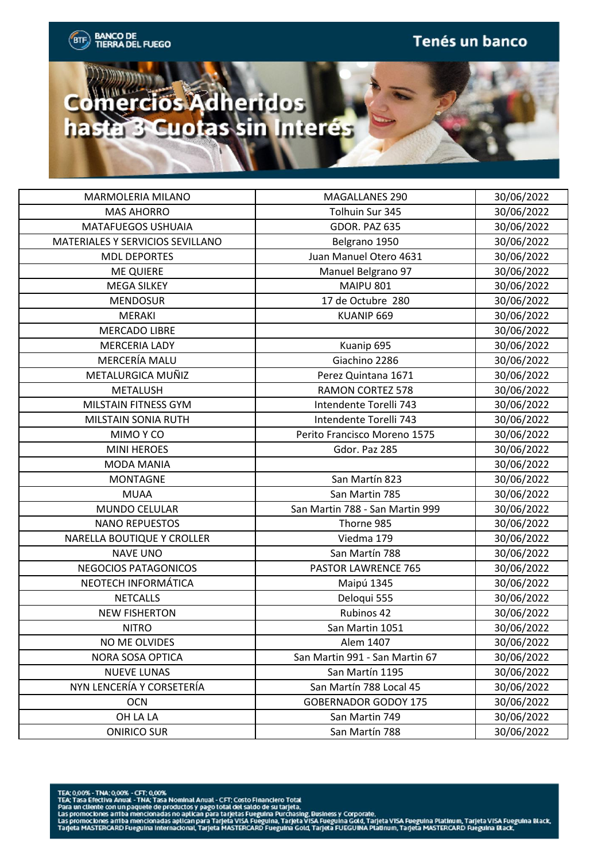



| MARMOLERIA MILANO                | MAGALLANES 290                  | 30/06/2022 |
|----------------------------------|---------------------------------|------------|
| <b>MAS AHORRO</b>                | Tolhuin Sur 345                 | 30/06/2022 |
| <b>MATAFUEGOS USHUAIA</b>        | GDOR. PAZ 635                   | 30/06/2022 |
| MATERIALES Y SERVICIOS SEVILLANO | Belgrano 1950                   | 30/06/2022 |
| <b>MDL DEPORTES</b>              | Juan Manuel Otero 4631          | 30/06/2022 |
| <b>ME QUIERE</b>                 | Manuel Belgrano 97              | 30/06/2022 |
| <b>MEGA SILKEY</b>               | <b>MAIPU 801</b>                | 30/06/2022 |
| <b>MENDOSUR</b>                  | 17 de Octubre 280               | 30/06/2022 |
| <b>MERAKI</b>                    | KUANIP 669                      | 30/06/2022 |
| <b>MERCADO LIBRE</b>             |                                 | 30/06/2022 |
| <b>MERCERIA LADY</b>             | Kuanip 695                      | 30/06/2022 |
| MERCERÍA MALU                    | Giachino 2286                   | 30/06/2022 |
| METALURGICA MUÑIZ                | Perez Quintana 1671             | 30/06/2022 |
| <b>METALUSH</b>                  | <b>RAMON CORTEZ 578</b>         | 30/06/2022 |
| <b>MILSTAIN FITNESS GYM</b>      | Intendente Torelli 743          | 30/06/2022 |
| MILSTAIN SONIA RUTH              | Intendente Torelli 743          | 30/06/2022 |
| MIMO Y CO                        | Perito Francisco Moreno 1575    | 30/06/2022 |
| <b>MINI HEROES</b>               | Gdor. Paz 285                   | 30/06/2022 |
| <b>MODA MANIA</b>                |                                 | 30/06/2022 |
| <b>MONTAGNE</b>                  | San Martín 823                  | 30/06/2022 |
| <b>MUAA</b>                      | San Martin 785                  | 30/06/2022 |
| MUNDO CELULAR                    | San Martin 788 - San Martin 999 | 30/06/2022 |
| <b>NANO REPUESTOS</b>            | Thorne 985                      | 30/06/2022 |
| NARELLA BOUTIQUE Y CROLLER       | Viedma 179                      | 30/06/2022 |
| <b>NAVE UNO</b>                  | San Martín 788                  | 30/06/2022 |
| NEGOCIOS PATAGONICOS             | PASTOR LAWRENCE 765             | 30/06/2022 |
| NEOTECH INFORMÁTICA              | Maipú 1345                      | 30/06/2022 |
| <b>NETCALLS</b>                  | Deloqui 555                     | 30/06/2022 |
| <b>NEW FISHERTON</b>             | Rubinos 42                      | 30/06/2022 |
| <b>NITRO</b>                     | San Martin 1051                 | 30/06/2022 |
| NO ME OLVIDES                    | Alem 1407                       | 30/06/2022 |
| NORA SOSA OPTICA                 | San Martin 991 - San Martin 67  | 30/06/2022 |
| <b>NUEVE LUNAS</b>               | San Martín 1195                 | 30/06/2022 |
| NYN LENCERÍA Y CORSETERÍA        | San Martín 788 Local 45         | 30/06/2022 |
| <b>OCN</b>                       | <b>GOBERNADOR GODOY 175</b>     | 30/06/2022 |
| OH LA LA                         | San Martin 749                  | 30/06/2022 |
| <b>ONIRICO SUR</b>               | San Martín 788                  | 30/06/2022 |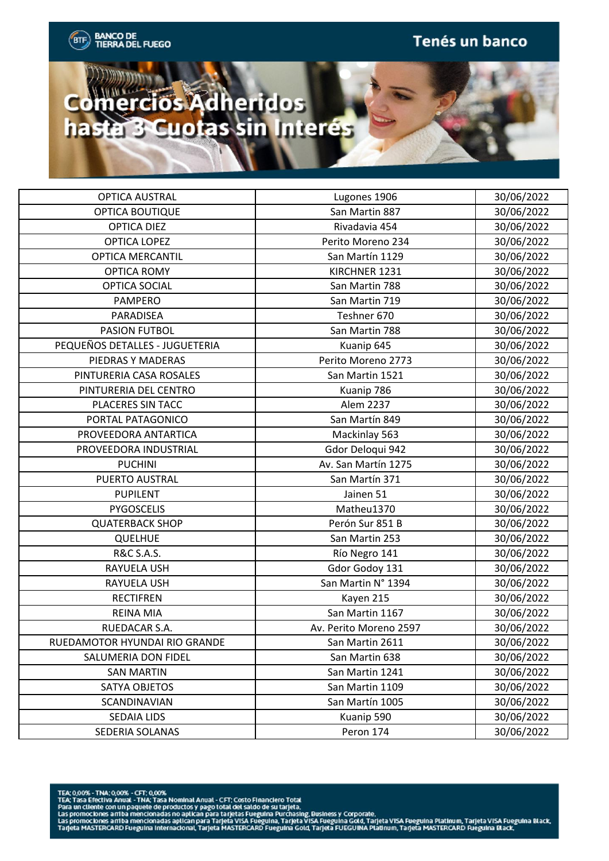

| <b>OPTICA AUSTRAL</b>          | Lugones 1906           | 30/06/2022 |
|--------------------------------|------------------------|------------|
| OPTICA BOUTIQUE                | San Martin 887         | 30/06/2022 |
| <b>OPTICA DIEZ</b>             | Rivadavia 454          | 30/06/2022 |
| <b>OPTICA LOPEZ</b>            | Perito Moreno 234      | 30/06/2022 |
| <b>OPTICA MERCANTIL</b>        | San Martín 1129        | 30/06/2022 |
| <b>OPTICA ROMY</b>             | KIRCHNER 1231          | 30/06/2022 |
| <b>OPTICA SOCIAL</b>           | San Martin 788         | 30/06/2022 |
| <b>PAMPERO</b>                 | San Martin 719         | 30/06/2022 |
| PARADISEA                      | Teshner 670            | 30/06/2022 |
| <b>PASION FUTBOL</b>           | San Martin 788         | 30/06/2022 |
| PEQUEÑOS DETALLES - JUGUETERIA | Kuanip 645             | 30/06/2022 |
| PIEDRAS Y MADERAS              | Perito Moreno 2773     | 30/06/2022 |
| PINTURERIA CASA ROSALES        | San Martin 1521        | 30/06/2022 |
| PINTURERIA DEL CENTRO          | Kuanip 786             | 30/06/2022 |
| PLACERES SIN TACC              | Alem 2237              | 30/06/2022 |
| PORTAL PATAGONICO              | San Martín 849         | 30/06/2022 |
| PROVEEDORA ANTARTICA           | Mackinlay 563          | 30/06/2022 |
| PROVEEDORA INDUSTRIAL          | Gdor Deloqui 942       | 30/06/2022 |
| <b>PUCHINI</b>                 | Av. San Martín 1275    | 30/06/2022 |
| PUERTO AUSTRAL                 | San Martín 371         | 30/06/2022 |
| <b>PUPILENT</b>                | Jainen 51              | 30/06/2022 |
| PYGOSCELIS                     | Matheu1370             | 30/06/2022 |
| <b>QUATERBACK SHOP</b>         | Perón Sur 851 B        | 30/06/2022 |
| <b>QUELHUE</b>                 | San Martin 253         | 30/06/2022 |
| <b>R&amp;C S.A.S.</b>          | Río Negro 141          | 30/06/2022 |
| RAYUELA USH                    | Gdor Godoy 131         | 30/06/2022 |
| RAYUELA USH                    | San Martin N° 1394     | 30/06/2022 |
| <b>RECTIFREN</b>               | Kayen 215              | 30/06/2022 |
| <b>REINA MIA</b>               | San Martin 1167        | 30/06/2022 |
| RUEDACAR S.A.                  | Av. Perito Moreno 2597 | 30/06/2022 |
| RUEDAMOTOR HYUNDAI RIO GRANDE  | San Martin 2611        | 30/06/2022 |
| SALUMERIA DON FIDEL            | San Martin 638         | 30/06/2022 |
| <b>SAN MARTIN</b>              | San Martin 1241        | 30/06/2022 |
| SATYA OBJETOS                  | San Martin 1109        | 30/06/2022 |
| SCANDINAVIAN                   | San Martín 1005        | 30/06/2022 |
| SEDAIA LIDS                    | Kuanip 590             | 30/06/2022 |
| SEDERIA SOLANAS                | Peron 174              | 30/06/2022 |

- 
-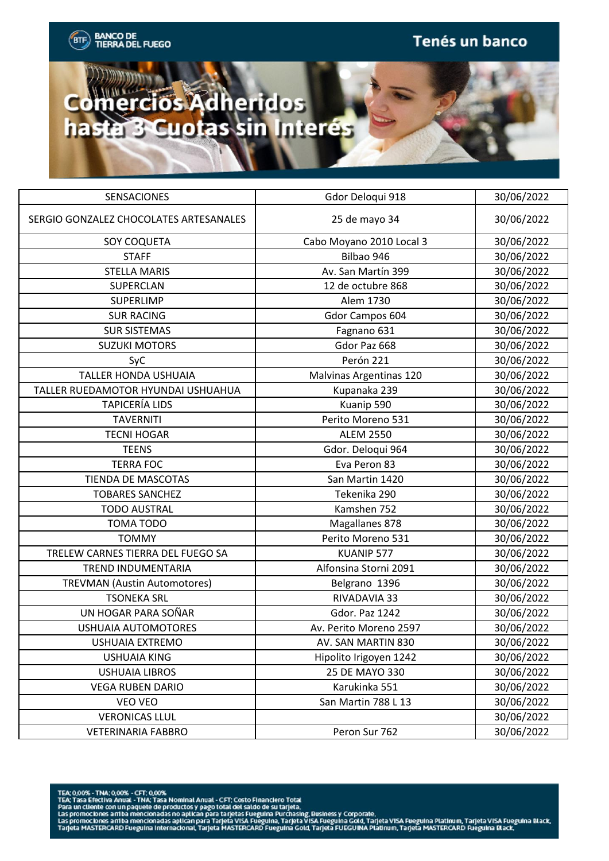## Comercios Adheridos hasta 3 Cuotas sin Interes

| <b>SENSACIONES</b>                     | Gdor Deloqui 918         | 30/06/2022 |
|----------------------------------------|--------------------------|------------|
| SERGIO GONZALEZ CHOCOLATES ARTESANALES | 25 de mayo 34            | 30/06/2022 |
| SOY COQUETA                            | Cabo Moyano 2010 Local 3 | 30/06/2022 |
| <b>STAFF</b>                           | Bilbao 946               | 30/06/2022 |
| <b>STELLA MARIS</b>                    | Av. San Martín 399       | 30/06/2022 |
| SUPERCLAN                              | 12 de octubre 868        | 30/06/2022 |
| SUPERLIMP                              | Alem 1730                | 30/06/2022 |
| <b>SUR RACING</b>                      | Gdor Campos 604          | 30/06/2022 |
| <b>SUR SISTEMAS</b>                    | Fagnano 631              | 30/06/2022 |
| <b>SUZUKI MOTORS</b>                   | Gdor Paz 668             | 30/06/2022 |
| SyC                                    | Perón 221                | 30/06/2022 |
| <b>TALLER HONDA USHUAIA</b>            | Malvinas Argentinas 120  | 30/06/2022 |
| TALLER RUEDAMOTOR HYUNDAI USHUAHUA     | Kupanaka 239             | 30/06/2022 |
| <b>TAPICERÍA LIDS</b>                  | Kuanip 590               | 30/06/2022 |
| <b>TAVERNITI</b>                       | Perito Moreno 531        | 30/06/2022 |
| <b>TECNI HOGAR</b>                     | <b>ALEM 2550</b>         | 30/06/2022 |
| <b>TEENS</b>                           | Gdor. Deloqui 964        | 30/06/2022 |
| <b>TERRA FOC</b>                       | Eva Peron 83             | 30/06/2022 |
| <b>TIENDA DE MASCOTAS</b>              | San Martin 1420          | 30/06/2022 |
| <b>TOBARES SANCHEZ</b>                 | Tekenika 290             | 30/06/2022 |
| <b>TODO AUSTRAL</b>                    | Kamshen 752              | 30/06/2022 |
| <b>TOMA TODO</b>                       | Magallanes 878           | 30/06/2022 |
| <b>TOMMY</b>                           | Perito Moreno 531        | 30/06/2022 |
| TRELEW CARNES TIERRA DEL FUEGO SA      | KUANIP 577               | 30/06/2022 |
| TREND INDUMENTARIA                     | Alfonsina Storni 2091    | 30/06/2022 |
| <b>TREVMAN (Austin Automotores)</b>    | Belgrano 1396            | 30/06/2022 |
| <b>TSONEKA SRL</b>                     | RIVADAVIA 33             | 30/06/2022 |
| UN HOGAR PARA SOÑAR                    | Gdor. Paz 1242           | 30/06/2022 |
| <b>USHUAIA AUTOMOTORES</b>             | Av. Perito Moreno 2597   | 30/06/2022 |
| USHUAIA EXTREMO                        | AV. SAN MARTIN 830       | 30/06/2022 |
| <b>USHUAIA KING</b>                    | Hipolito Irigoyen 1242   | 30/06/2022 |
| <b>USHUAIA LIBROS</b>                  | 25 DE MAYO 330           | 30/06/2022 |
| <b>VEGA RUBEN DARIO</b>                | Karukinka 551            | 30/06/2022 |
| VEO VEO                                | San Martin 788 L 13      | 30/06/2022 |
| <b>VERONICAS LLUL</b>                  |                          | 30/06/2022 |
| <b>VETERINARIA FABBRO</b>              | Peron Sur 762            | 30/06/2022 |

- 
-